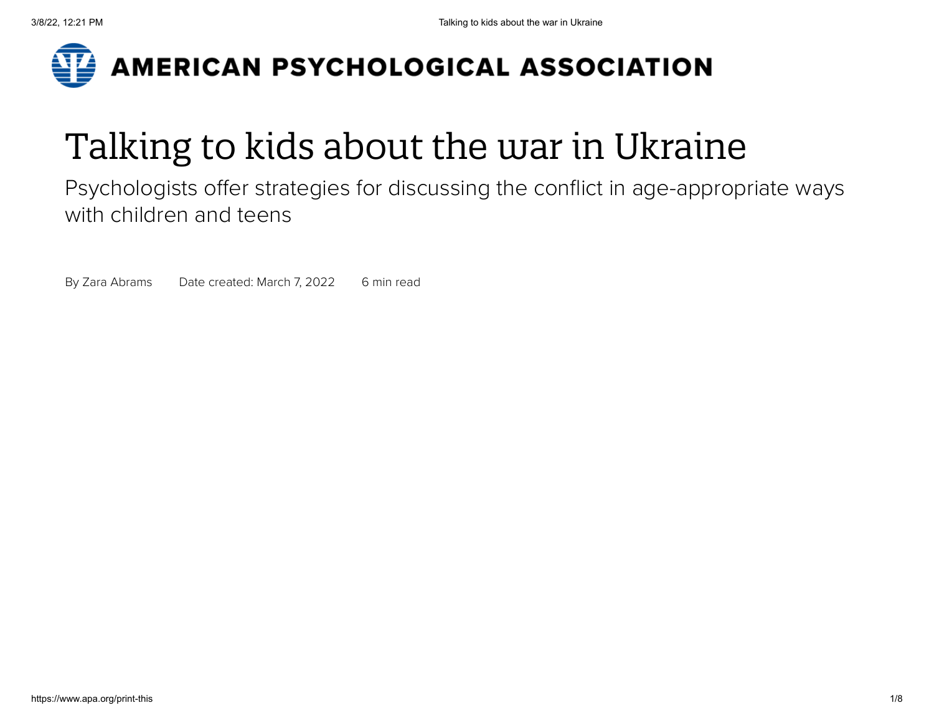

# Talking to kids about the war in Ukraine

Psychologists offer strategies for discussing the conflict in age-appropriate ways with children and teens

By Zara [Abrams](https://www.apa.org/search?query=&fq=ContributorFilt:%22Abrams,%20Zara%22&sort=ContentDateSort%20desc) Date created: March 7, 2022 6 min read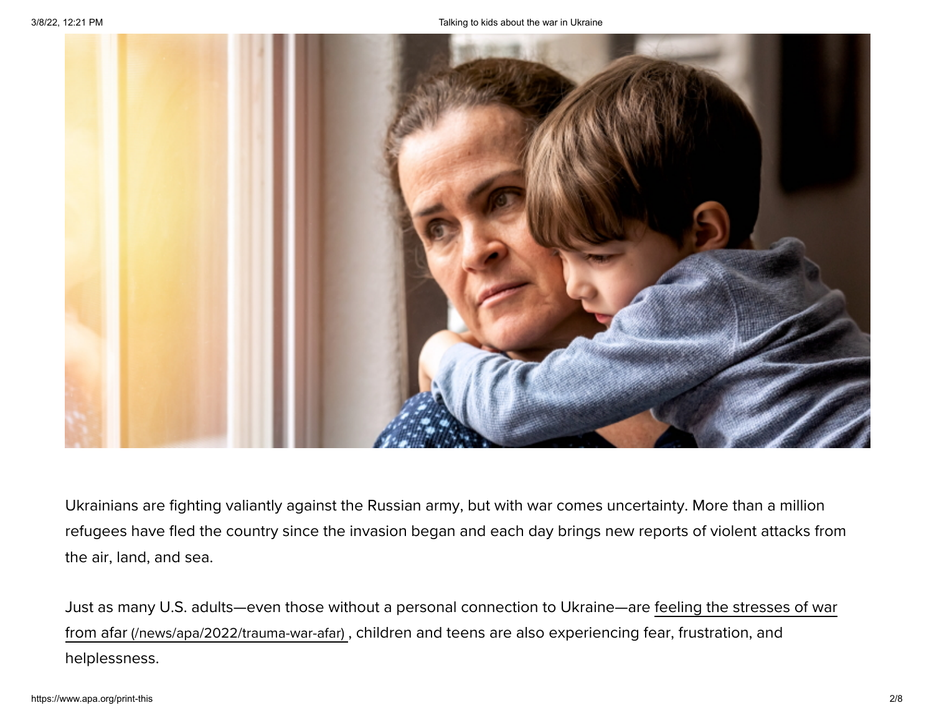

Ukrainians are fighting valiantly against the Russian army, but with war comes uncertainty. More than a million refugees have fled the country since the invasion began and each day brings new reports of violent attacks from the air, land, and sea.

Just as many U.S. adults—even those without a personal connection to Ukraine—are feeling the stresses of war from afar [\(/news/apa/2022/trauma-war-afar\)](https://www.apa.org/news/apa/2022/trauma-war-afar) , children and teens are also experiencing fear, frustration, and helplessness.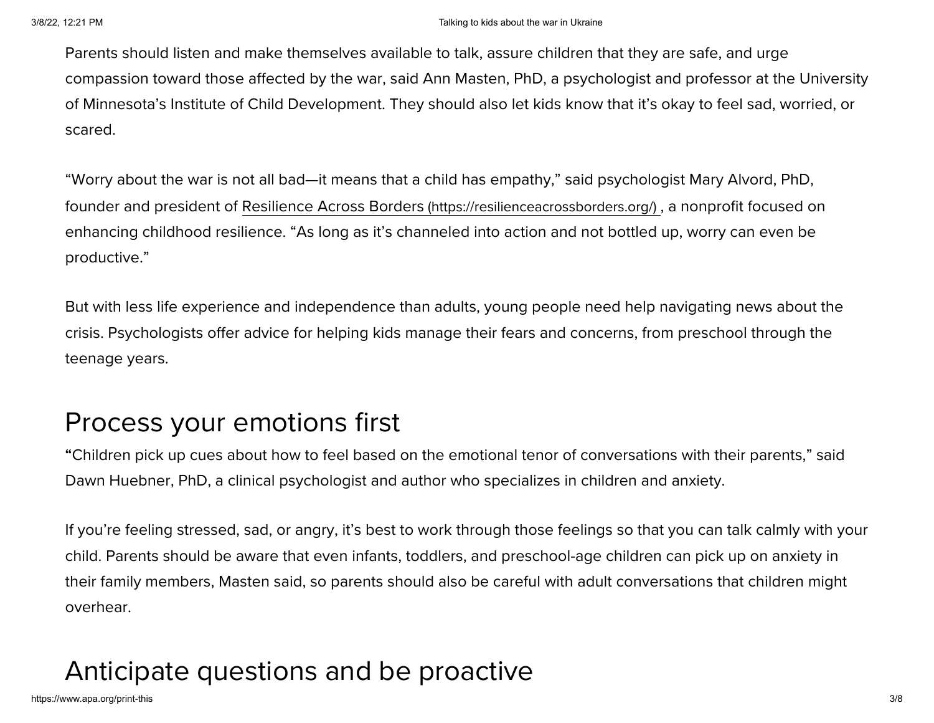Parents should listen and make themselves available to talk, assure children that they are safe, and urge compassion toward those affected by the war, said Ann Masten, PhD, a psychologist and professor at the University of Minnesota's Institute of Child Development. They should also let kids know that it's okay to feel sad, worried, or scared.

"Worry about the war is not all bad—it means that a child has empathy," said psychologist Mary Alvord, PhD, founder and president of Resilience Across Borders [\(https://resilienceacrossborders.org/\)](https://resilienceacrossborders.org/) , a nonprofit focused on enhancing childhood resilience. "As long as it's channeled into action and not bottled up, worry can even be productive."

But with less life experience and independence than adults, young people need help navigating news about the crisis. Psychologists offer advice for helping kids manage their fears and concerns, from preschool through the teenage years.

## Process your emotions first

**"**Children pick up cues about how to feel based on the emotional tenor of conversations with their parents," said Dawn Huebner, PhD, a clinical psychologist and author who specializes in children and anxiety.

If you're feeling stressed, sad, or angry, it's best to work through those feelings so that you can talk calmly with your child. Parents should be aware that even infants, toddlers, and preschool-age children can pick up on anxiety in their family members, Masten said, so parents should also be careful with adult conversations that children might overhear.

# Anticipate questions and be proactive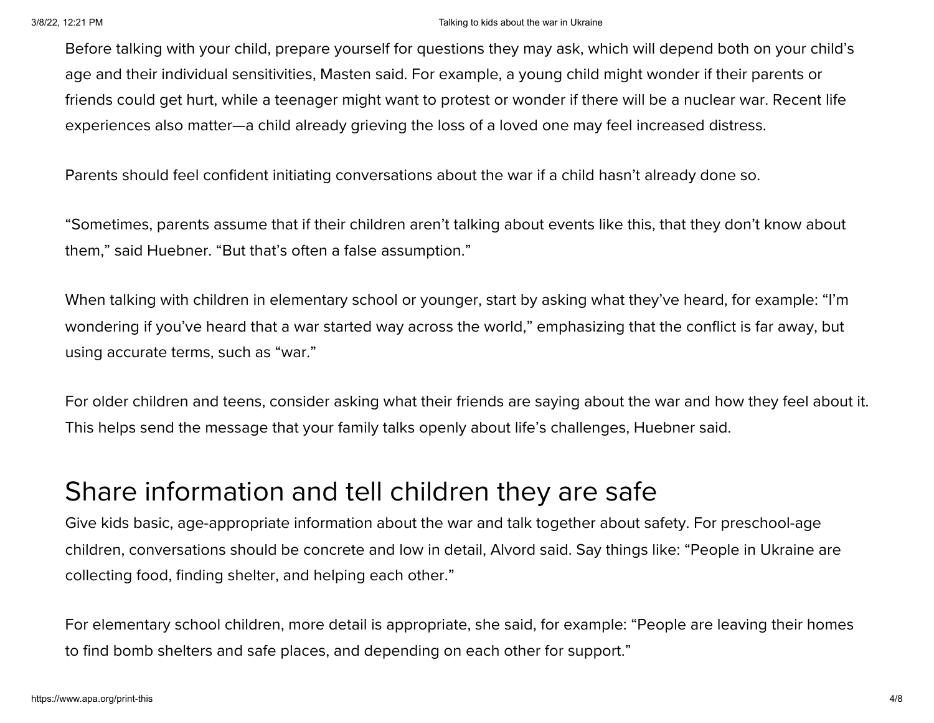#### 3/8/22, 12:21 PM Talking to kids about the war in Ukraine

Before talking with your child, prepare yourself for questions they may ask, which will depend both on your child's age and their individual sensitivities, Masten said. For example, a young child might wonder if their parents or friends could get hurt, while a teenager might want to protest or wonder if there will be a nuclear war. Recent life experiences also matter—a child already grieving the loss of a loved one may feel increased distress.

Parents should feel confident initiating conversations about the war if a child hasn't already done so.

"Sometimes, parents assume that if their children aren't talking about events like this, that they don't know about them," said Huebner. "But that's often a false assumption."

When talking with children in elementary school or younger, start by asking what they've heard, for example: "I'm wondering if you've heard that a war started way across the world," emphasizing that the conflict is far away, but using accurate terms, such as "war."

For older children and teens, consider asking what their friends are saying about the war and how they feel about it. This helps send the message that your family talks openly about life's challenges, Huebner said.

#### Share information and tell children they are safe

Give kids basic, age-appropriate information about the war and talk together about safety. For preschool-age children, conversations should be concrete and low in detail, Alvord said. Say things like: "People in Ukraine are collecting food, finding shelter, and helping each other."

For elementary school children, more detail is appropriate, she said, for example: "People are leaving their homes to find bomb shelters and safe places, and depending on each other for support."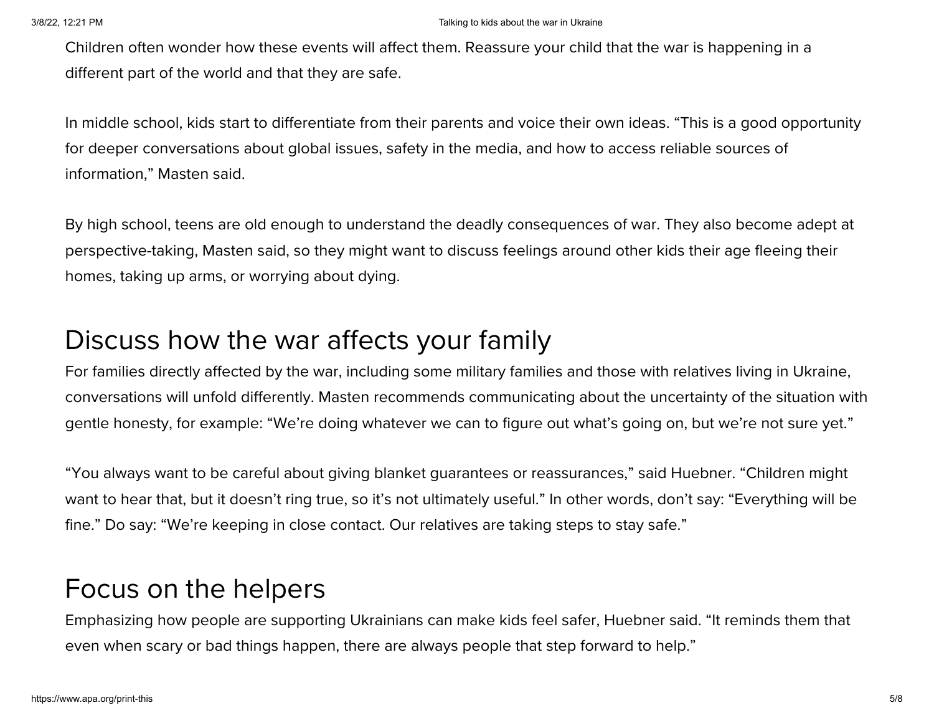#### 3/8/22, 12:21 PM Talking to kids about the war in Ukraine

Children often wonder how these events will affect them. Reassure your child that the war is happening in a different part of the world and that they are safe.

In middle school, kids start to differentiate from their parents and voice their own ideas. "This is a good opportunity for deeper conversations about global issues, safety in the media, and how to access reliable sources of information," Masten said.

By high school, teens are old enough to understand the deadly consequences of war. They also become adept at perspective-taking, Masten said, so they might want to discuss feelings around other kids their age fleeing their homes, taking up arms, or worrying about dying.

#### Discuss how the war affects your family

For families directly affected by the war, including some military families and those with relatives living in Ukraine, conversations will unfold differently. Masten recommends communicating about the uncertainty of the situation with gentle honesty, for example: "We're doing whatever we can to figure out what's going on, but we're not sure yet."

"You always want to be careful about giving blanket guarantees or reassurances," said Huebner. "Children might want to hear that, but it doesn't ring true, so it's not ultimately useful." In other words, don't say: "Everything will be fine." Do say: "We're keeping in close contact. Our relatives are taking steps to stay safe."

#### Focus on the helpers

Emphasizing how people are supporting Ukrainians can make kids feel safer, Huebner said. "It reminds them that even when scary or bad things happen, there are always people that step forward to help."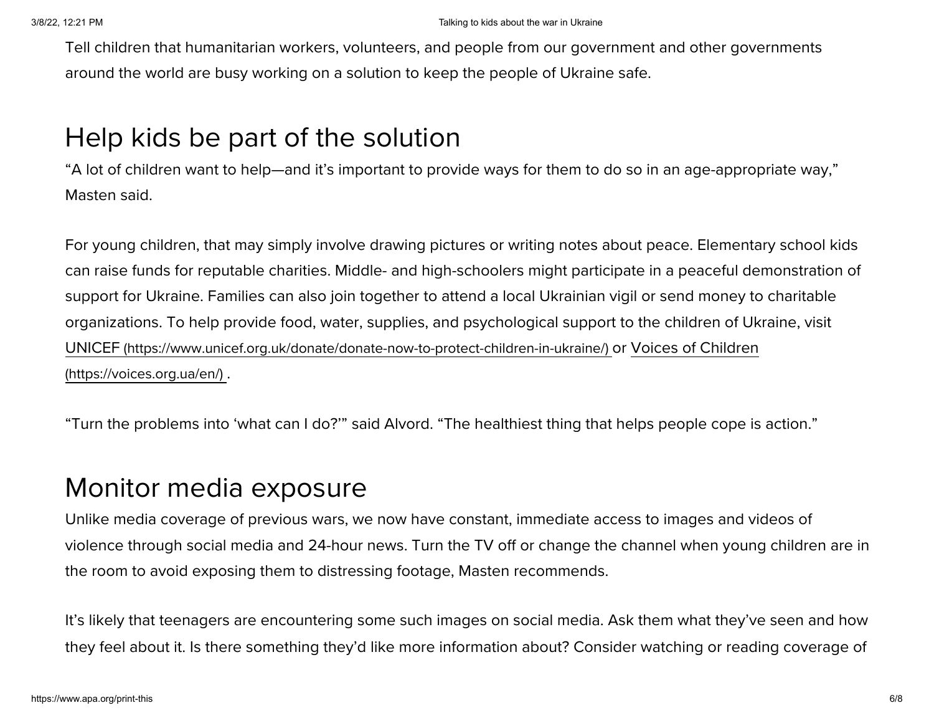Tell children that humanitarian workers, volunteers, and people from our government and other governments around the world are busy working on a solution to keep the people of Ukraine safe.

### Help kids be part of the solution

"A lot of children want to help—and it's important to provide ways for them to do so in an age-appropriate way," Masten said.

For young children, that may simply involve drawing pictures or writing notes about peace. Elementary school kids can raise funds for reputable charities. Middle- and high-schoolers might participate in a peaceful demonstration of support for Ukraine. Families can also join together to attend a local Ukrainian vigil or send money to charitable organizations. To help provide food, water, supplies, and psychological support to the children of Ukraine, visit UNICEF [\(https://www.unicef.org.uk/donate/donate-now-to-protect-children-in-ukraine/\)](https://www.unicef.org.uk/donate/donate-now-to-protect-children-in-ukraine/) or Voices of Children (https://voices.org.ua/en/) .

"Turn the problems into 'what can I do?'" said Alvord. "The healthiest thing that helps people cope is action."

#### Monitor media exposure

Unlike media coverage of previous wars, we now have constant, immediate access to images and videos of violence through social media and 24-hour news. Turn the TV off or change the channel when young children are in the room to avoid exposing them to distressing footage, Masten recommends.

It's likely that teenagers are encountering some such images on social media. Ask them what they've seen and how they feel about it. Is there something they'd like more information about? Consider watching or reading coverage of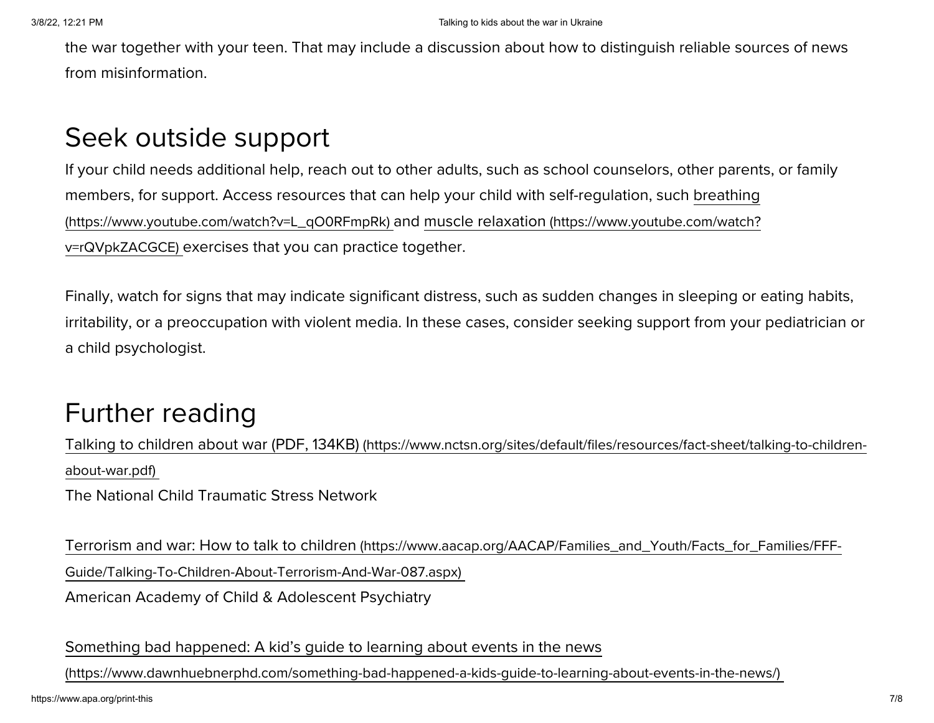the war together with your teen. That may include a discussion about how to distinguish reliable sources of news from misinformation.

### Seek outside support

If your child needs additional help, reach out to other adults, such as school counselors, other parents, or family members, for support. Access resources that can help your child with self-regulation, such breathing [\(https://www.youtube.com/watch?v=L\\_qO0RFmpRk\)](https://www.youtube.com/watch?v=L_qO0RFmpRk) and muscle relaxation (https://www.youtube.com/watch? v=rQVpkZACGCE) exercises that you can practice together.

Finally, watch for signs that may indicate significant distress, such as sudden changes in sleeping or eating habits, irritability, or a preoccupation with violent media. In these cases, consider seeking support from your pediatrician or a child psychologist.

### Further reading

Talking to children about war (PDF, 134KB) [\(https://www.nctsn.org/sites/default/files/resources/fact-sheet/talking-to-children](https://www.nctsn.org/sites/default/files/resources/fact-sheet/talking-to-children-about-war.pdf)about-war.pdf)

The National Child Traumatic Stress Network

Terrorism and war: How to talk to children [\(https://www.aacap.org/AACAP/Families\\_and\\_Youth/Facts\\_for\\_Families/FFF-](https://www.aacap.org/AACAP/Families_and_Youth/Facts_for_Families/FFF-Guide/Talking-To-Children-About-Terrorism-And-War-087.aspx)Guide/Talking-To-Children-About-Terrorism-And-War-087.aspx) American Academy of Child & Adolescent Psychiatry

Something bad happened: A kid's guide to learning about events in the news

[\(https://www.dawnhuebnerphd.com/something-bad-happened-a-kids-guide-to-learning-about-events-in-the-news/\)](https://www.dawnhuebnerphd.com/something-bad-happened-a-kids-guide-to-learning-about-events-in-the-news/)